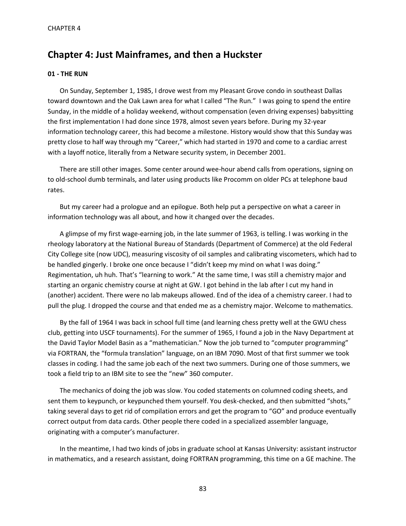# **Chapter 4: Just Mainframes, and then a Huckster**

# **01 - THE RUN**

On Sunday, September 1, 1985, I drove west from my Pleasant Grove condo in southeast Dallas toward downtown and the Oak Lawn area for what I called "The Run." I was going to spend the entire Sunday, in the middle of a holiday weekend, without compensation (even driving expenses) babysitting the first implementation I had done since 1978, almost seven years before. During my 32-year information technology career, this had become a milestone. History would show that this Sunday was pretty close to half way through my "Career," which had started in 1970 and come to a cardiac arrest with a layoff notice, literally from a Netware security system, in December 2001.

There are still other images. Some center around wee-hour abend calls from operations, signing on to old-school dumb terminals, and later using products like Procomm on older PCs at telephone baud rates.

But my career had a prologue and an epilogue. Both help put a perspective on what a career in information technology was all about, and how it changed over the decades.

A glimpse of my first wage-earning job, in the late summer of 1963, is telling. I was working in the rheology laboratory at the National Bureau of Standards (Department of Commerce) at the old Federal City College site (now UDC), measuring viscosity of oil samples and calibrating viscometers, which had to be handled gingerly. I broke one once because I "didn't keep my mind on what I was doing." Regimentation, uh huh. That's "learning to work." At the same time, I was still a chemistry major and starting an organic chemistry course at night at GW. I got behind in the lab after I cut my hand in (another) accident. There were no lab makeups allowed. End of the idea of a chemistry career. I had to pull the plug. I dropped the course and that ended me as a chemistry major. Welcome to mathematics.

By the fall of 1964 I was back in school full time (and learning chess pretty well at the GWU chess club, getting into USCF tournaments). For the summer of 1965, I found a job in the Navy Department at the David Taylor Model Basin as a "mathematician." Now the job turned to "computer programming" via FORTRAN, the "formula translation" language, on an IBM 7090. Most of that first summer we took classes in coding. I had the same job each of the next two summers. During one of those summers, we took a field trip to an IBM site to see the "new" 360 computer.

The mechanics of doing the job was slow. You coded statements on columned coding sheets, and sent them to keypunch, or keypunched them yourself. You desk-checked, and then submitted "shots," taking several days to get rid of compilation errors and get the program to "GO" and produce eventually correct output from data cards. Other people there coded in a specialized assembler language, originating with a computer's manufacturer.

In the meantime, I had two kinds of jobs in graduate school at Kansas University: assistant instructor in mathematics, and a research assistant, doing FORTRAN programming, this time on a GE machine. The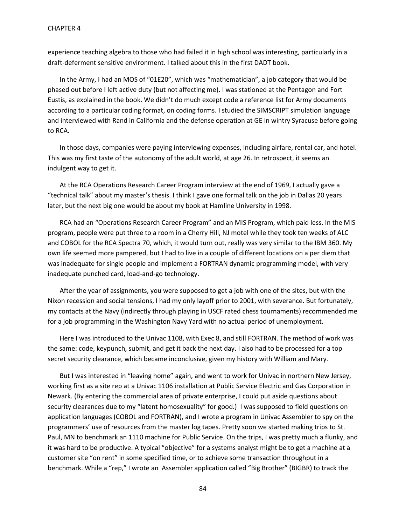experience teaching algebra to those who had failed it in high school was interesting, particularly in a draft-deferment sensitive environment. I talked about this in the first DADT book.

In the Army, I had an MOS of "01E20", which was "mathematician", a job category that would be phased out before I left active duty (but not affecting me). I was stationed at the Pentagon and Fort Eustis, as explained in the book. We didn't do much except code a reference list for Army documents according to a particular coding format, on coding forms. I studied the SIMSCRIPT simulation language and interviewed with Rand in California and the defense operation at GE in wintry Syracuse before going to RCA.

In those days, companies were paying interviewing expenses, including airfare, rental car, and hotel. This was my first taste of the autonomy of the adult world, at age 26. In retrospect, it seems an indulgent way to get it.

At the RCA Operations Research Career Program interview at the end of 1969, I actually gave a "technical talk" about my master's thesis. I think I gave one formal talk on the job in Dallas 20 years later, but the next big one would be about my book at Hamline University in 1998.

RCA had an "Operations Research Career Program" and an MIS Program, which paid less. In the MIS program, people were put three to a room in a Cherry Hill, NJ motel while they took ten weeks of ALC and COBOL for the RCA Spectra 70, which, it would turn out, really was very similar to the IBM 360. My own life seemed more pampered, but I had to live in a couple of different locations on a per diem that was inadequate for single people and implement a FORTRAN dynamic programming model, with very inadequate punched card, load-and-go technology.

After the year of assignments, you were supposed to get a job with one of the sites, but with the Nixon recession and social tensions, I had my only layoff prior to 2001, with severance. But fortunately, my contacts at the Navy (indirectly through playing in USCF rated chess tournaments) recommended me for a job programming in the Washington Navy Yard with no actual period of unemployment.

Here I was introduced to the Univac 1108, with Exec 8, and still FORTRAN. The method of work was the same: code, keypunch, submit, and get it back the next day. I also had to be processed for a top secret security clearance, which became inconclusive, given my history with William and Mary.

But I was interested in "leaving home" again, and went to work for Univac in northern New Jersey, working first as a site rep at a Univac 1106 installation at Public Service Electric and Gas Corporation in Newark. (By entering the commercial area of private enterprise, I could put aside questions about security clearances due to my "latent homosexuality" for good.) I was supposed to field questions on application languages (COBOL and FORTRAN), and I wrote a program in Univac Assembler to spy on the programmers' use of resources from the master log tapes. Pretty soon we started making trips to St. Paul, MN to benchmark an 1110 machine for Public Service. On the trips, I was pretty much a flunky, and it was hard to be productive. A typical "objective" for a systems analyst might be to get a machine at a customer site "on rent" in some specified time, or to achieve some transaction throughput in a benchmark. While a "rep," I wrote an Assembler application called "Big Brother" (BIGBR) to track the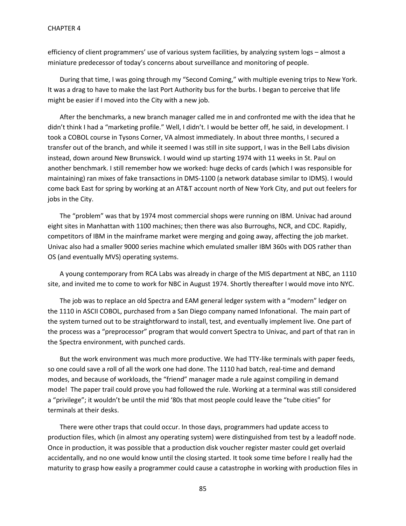efficiency of client programmers' use of various system facilities, by analyzing system logs – almost a miniature predecessor of today's concerns about surveillance and monitoring of people.

During that time, I was going through my "Second Coming," with multiple evening trips to New York. It was a drag to have to make the last Port Authority bus for the burbs. I began to perceive that life might be easier if I moved into the City with a new job.

After the benchmarks, a new branch manager called me in and confronted me with the idea that he didn't think I had a "marketing profile." Well, I didn't. I would be better off, he said, in development. I took a COBOL course in Tysons Corner, VA almost immediately. In about three months, I secured a transfer out of the branch, and while it seemed I was still in site support, I was in the Bell Labs division instead, down around New Brunswick. I would wind up starting 1974 with 11 weeks in St. Paul on another benchmark. I still remember how we worked: huge decks of cards (which I was responsible for maintaining) ran mixes of fake transactions in DMS-1100 (a network database similar to IDMS). I would come back East for spring by working at an AT&T account north of New York City, and put out feelers for jobs in the City.

The "problem" was that by 1974 most commercial shops were running on IBM. Univac had around eight sites in Manhattan with 1100 machines; then there was also Burroughs, NCR, and CDC. Rapidly, competitors of IBM in the mainframe market were merging and going away, affecting the job market. Univac also had a smaller 9000 series machine which emulated smaller IBM 360s with DOS rather than OS (and eventually MVS) operating systems.

A young contemporary from RCA Labs was already in charge of the MIS department at NBC, an 1110 site, and invited me to come to work for NBC in August 1974. Shortly thereafter I would move into NYC.

The job was to replace an old Spectra and EAM general ledger system with a "modern" ledger on the 1110 in ASCII COBOL, purchased from a San Diego company named Infonational. The main part of the system turned out to be straightforward to install, test, and eventually implement live. One part of the process was a "preprocessor" program that would convert Spectra to Univac, and part of that ran in the Spectra environment, with punched cards.

But the work environment was much more productive. We had TTY-like terminals with paper feeds, so one could save a roll of all the work one had done. The 1110 had batch, real-time and demand modes, and because of workloads, the "friend" manager made a rule against compiling in demand mode! The paper trail could prove you had followed the rule. Working at a terminal was still considered a "privilege"; it wouldn't be until the mid '80s that most people could leave the "tube cities" for terminals at their desks.

There were other traps that could occur. In those days, programmers had update access to production files, which (in almost any operating system) were distinguished from test by a leadoff node. Once in production, it was possible that a production disk voucher register master could get overlaid accidentally, and no one would know until the closing started. It took some time before I really had the maturity to grasp how easily a programmer could cause a catastrophe in working with production files in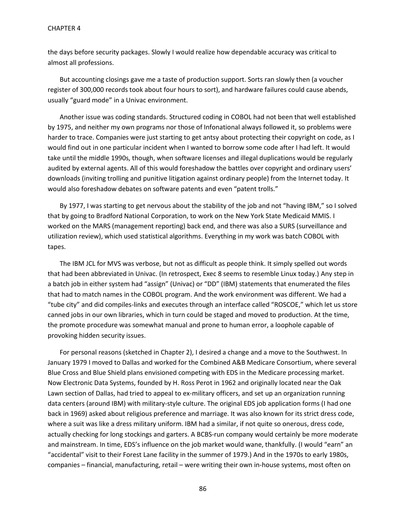the days before security packages. Slowly I would realize how dependable accuracy was critical to almost all professions.

But accounting closings gave me a taste of production support. Sorts ran slowly then (a voucher register of 300,000 records took about four hours to sort), and hardware failures could cause abends, usually "guard mode" in a Univac environment.

Another issue was coding standards. Structured coding in COBOL had not been that well established by 1975, and neither my own programs nor those of Infonational always followed it, so problems were harder to trace. Companies were just starting to get antsy about protecting their copyright on code, as I would find out in one particular incident when I wanted to borrow some code after I had left. It would take until the middle 1990s, though, when software licenses and illegal duplications would be regularly audited by external agents. All of this would foreshadow the battles over copyright and ordinary users' downloads (inviting trolling and punitive litigation against ordinary people) from the Internet today. It would also foreshadow debates on software patents and even "patent trolls."

By 1977, I was starting to get nervous about the stability of the job and not "having IBM," so I solved that by going to Bradford National Corporation, to work on the New York State Medicaid MMIS. I worked on the MARS (management reporting) back end, and there was also a SURS (surveillance and utilization review), which used statistical algorithms. Everything in my work was batch COBOL with tapes.

The IBM JCL for MVS was verbose, but not as difficult as people think. It simply spelled out words that had been abbreviated in Univac. (In retrospect, Exec 8 seems to resemble Linux today.) Any step in a batch job in either system had "assign" (Univac) or "DD" (IBM) statements that enumerated the files that had to match names in the COBOL program. And the work environment was different. We had a "tube city" and did compiles-links and executes through an interface called "ROSCOE," which let us store canned jobs in our own libraries, which in turn could be staged and moved to production. At the time, the promote procedure was somewhat manual and prone to human error, a loophole capable of provoking hidden security issues.

For personal reasons (sketched in Chapter 2), I desired a change and a move to the Southwest. In January 1979 I moved to Dallas and worked for the Combined A&B Medicare Consortium, where several Blue Cross and Blue Shield plans envisioned competing with EDS in the Medicare processing market. Now Electronic Data Systems, founded by H. Ross Perot in 1962 and originally located near the Oak Lawn section of Dallas, had tried to appeal to ex-military officers, and set up an organization running data centers (around IBM) with military-style culture. The original EDS job application forms (I had one back in 1969) asked about religious preference and marriage. It was also known for its strict dress code, where a suit was like a dress military uniform. IBM had a similar, if not quite so onerous, dress code, actually checking for long stockings and garters. A BCBS-run company would certainly be more moderate and mainstream. In time, EDS's influence on the job market would wane, thankfully. (I would "earn" an "accidental" visit to their Forest Lane facility in the summer of 1979.) And in the 1970s to early 1980s, companies – financial, manufacturing, retail – were writing their own in-house systems, most often on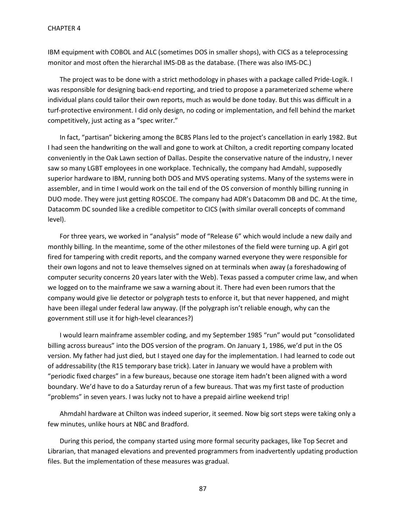IBM equipment with COBOL and ALC (sometimes DOS in smaller shops), with CICS as a teleprocessing monitor and most often the hierarchal IMS-DB as the database. (There was also IMS-DC.)

The project was to be done with a strict methodology in phases with a package called Pride-Logik. I was responsible for designing back-end reporting, and tried to propose a parameterized scheme where individual plans could tailor their own reports, much as would be done today. But this was difficult in a turf-protective environment. I did only design, no coding or implementation, and fell behind the market competitively, just acting as a "spec writer."

In fact, "partisan" bickering among the BCBS Plans led to the project's cancellation in early 1982. But I had seen the handwriting on the wall and gone to work at Chilton, a credit reporting company located conveniently in the Oak Lawn section of Dallas. Despite the conservative nature of the industry, I never saw so many LGBT employees in one workplace. Technically, the company had Amdahl, supposedly superior hardware to IBM, running both DOS and MVS operating systems. Many of the systems were in assembler, and in time I would work on the tail end of the OS conversion of monthly billing running in DUO mode. They were just getting ROSCOE. The company had ADR's Datacomm DB and DC. At the time, Datacomm DC sounded like a credible competitor to CICS (with similar overall concepts of command level).

For three years, we worked in "analysis" mode of "Release 6" which would include a new daily and monthly billing. In the meantime, some of the other milestones of the field were turning up. A girl got fired for tampering with credit reports, and the company warned everyone they were responsible for their own logons and not to leave themselves signed on at terminals when away (a foreshadowing of computer security concerns 20 years later with the Web). Texas passed a computer crime law, and when we logged on to the mainframe we saw a warning about it. There had even been rumors that the company would give lie detector or polygraph tests to enforce it, but that never happened, and might have been illegal under federal law anyway. (If the polygraph isn't reliable enough, why can the government still use it for high-level clearances?)

I would learn mainframe assembler coding, and my September 1985 "run" would put "consolidated billing across bureaus" into the DOS version of the program. On January 1, 1986, we'd put in the OS version. My father had just died, but I stayed one day for the implementation. I had learned to code out of addressability (the R15 temporary base trick). Later in January we would have a problem with "periodic fixed charges" in a few bureaus, because one storage item hadn't been aligned with a word boundary. We'd have to do a Saturday rerun of a few bureaus. That was my first taste of production "problems" in seven years. I was lucky not to have a prepaid airline weekend trip!

Ahmdahl hardware at Chilton was indeed superior, it seemed. Now big sort steps were taking only a few minutes, unlike hours at NBC and Bradford.

During this period, the company started using more formal security packages, like Top Secret and Librarian, that managed elevations and prevented programmers from inadvertently updating production files. But the implementation of these measures was gradual.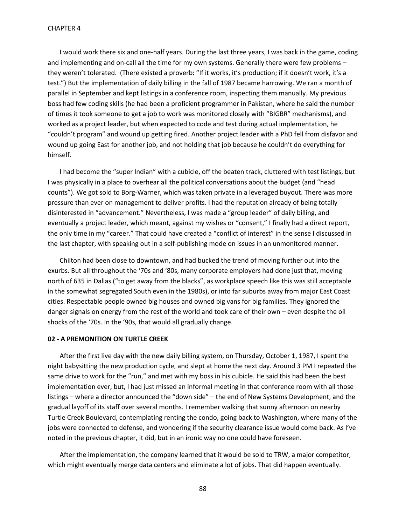I would work there six and one-half years. During the last three years, I was back in the game, coding and implementing and on-call all the time for my own systems. Generally there were few problems – they weren't tolerated. (There existed a proverb: "If it works, it's production; if it doesn't work, it's a test.") But the implementation of daily billing in the fall of 1987 became harrowing. We ran a month of parallel in September and kept listings in a conference room, inspecting them manually. My previous boss had few coding skills (he had been a proficient programmer in Pakistan, where he said the number of times it took someone to get a job to work was monitored closely with "BIGBR" mechanisms), and worked as a project leader, but when expected to code and test during actual implementation, he "couldn't program" and wound up getting fired. Another project leader with a PhD fell from disfavor and wound up going East for another job, and not holding that job because he couldn't do everything for himself.

I had become the "super Indian" with a cubicle, off the beaten track, cluttered with test listings, but I was physically in a place to overhear all the political conversations about the budget (and "head counts"). We got sold to Borg-Warner, which was taken private in a leveraged buyout. There was more pressure than ever on management to deliver profits. I had the reputation already of being totally disinterested in "advancement." Nevertheless, I was made a "group leader" of daily billing, and eventually a project leader, which meant, against my wishes or "consent," I finally had a direct report, the only time in my "career." That could have created a "conflict of interest" in the sense I discussed in the last chapter, with speaking out in a self-publishing mode on issues in an unmonitored manner.

Chilton had been close to downtown, and had bucked the trend of moving further out into the exurbs. But all throughout the '70s and '80s, many corporate employers had done just that, moving north of 635 in Dallas ("to get away from the blacks", as workplace speech like this was still acceptable in the somewhat segregated South even in the 1980s), or into far suburbs away from major East Coast cities. Respectable people owned big houses and owned big vans for big families. They ignored the danger signals on energy from the rest of the world and took care of their own – even despite the oil shocks of the '70s. In the '90s, that would all gradually change.

# **02 - A PREMONITION ON TURTLE CREEK**

After the first live day with the new daily billing system, on Thursday, October 1, 1987, I spent the night babysitting the new production cycle, and slept at home the next day. Around 3 PM I repeated the same drive to work for the "run," and met with my boss in his cubicle. He said this had been the best implementation ever, but, I had just missed an informal meeting in that conference room with all those listings – where a director announced the "down side" – the end of New Systems Development, and the gradual layoff of its staff over several months. I remember walking that sunny afternoon on nearby Turtle Creek Boulevard, contemplating renting the condo, going back to Washington, where many of the jobs were connected to defense, and wondering if the security clearance issue would come back. As I've noted in the previous chapter, it did, but in an ironic way no one could have foreseen.

After the implementation, the company learned that it would be sold to TRW, a major competitor, which might eventually merge data centers and eliminate a lot of jobs. That did happen eventually.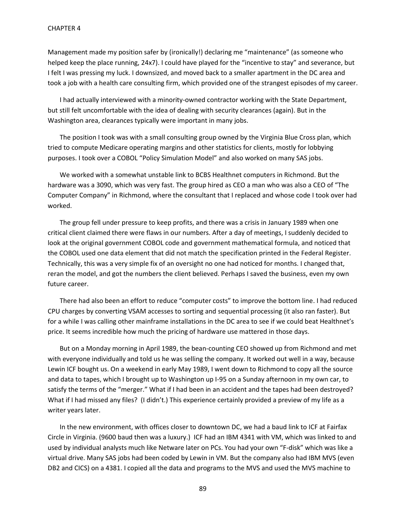Management made my position safer by (ironically!) declaring me "maintenance" (as someone who helped keep the place running, 24x7). I could have played for the "incentive to stay" and severance, but I felt I was pressing my luck. I downsized, and moved back to a smaller apartment in the DC area and took a job with a health care consulting firm, which provided one of the strangest episodes of my career.

I had actually interviewed with a minority-owned contractor working with the State Department, but still felt uncomfortable with the idea of dealing with security clearances (again). But in the Washington area, clearances typically were important in many jobs.

The position I took was with a small consulting group owned by the Virginia Blue Cross plan, which tried to compute Medicare operating margins and other statistics for clients, mostly for lobbying purposes. I took over a COBOL "Policy Simulation Model" and also worked on many SAS jobs.

We worked with a somewhat unstable link to BCBS Healthnet computers in Richmond. But the hardware was a 3090, which was very fast. The group hired as CEO a man who was also a CEO of "The Computer Company" in Richmond, where the consultant that I replaced and whose code I took over had worked.

The group fell under pressure to keep profits, and there was a crisis in January 1989 when one critical client claimed there were flaws in our numbers. After a day of meetings, I suddenly decided to look at the original government COBOL code and government mathematical formula, and noticed that the COBOL used one data element that did not match the specification printed in the Federal Register. Technically, this was a very simple fix of an oversight no one had noticed for months. I changed that, reran the model, and got the numbers the client believed. Perhaps I saved the business, even my own future career.

There had also been an effort to reduce "computer costs" to improve the bottom line. I had reduced CPU charges by converting VSAM accesses to sorting and sequential processing (it also ran faster). But for a while I was calling other mainframe installations in the DC area to see if we could beat Healthnet's price. It seems incredible how much the pricing of hardware use mattered in those days.

But on a Monday morning in April 1989, the bean-counting CEO showed up from Richmond and met with everyone individually and told us he was selling the company. It worked out well in a way, because Lewin ICF bought us. On a weekend in early May 1989, I went down to Richmond to copy all the source and data to tapes, which I brought up to Washington up I-95 on a Sunday afternoon in my own car, to satisfy the terms of the "merger." What if I had been in an accident and the tapes had been destroyed? What if I had missed any files? (I didn't.) This experience certainly provided a preview of my life as a writer years later.

In the new environment, with offices closer to downtown DC, we had a baud link to ICF at Fairfax Circle in Virginia. (9600 baud then was a luxury.) ICF had an IBM 4341 with VM, which was linked to and used by individual analysts much like Netware later on PCs. You had your own "F-disk" which was like a virtual drive. Many SAS jobs had been coded by Lewin in VM. But the company also had IBM MVS (even DB2 and CICS) on a 4381. I copied all the data and programs to the MVS and used the MVS machine to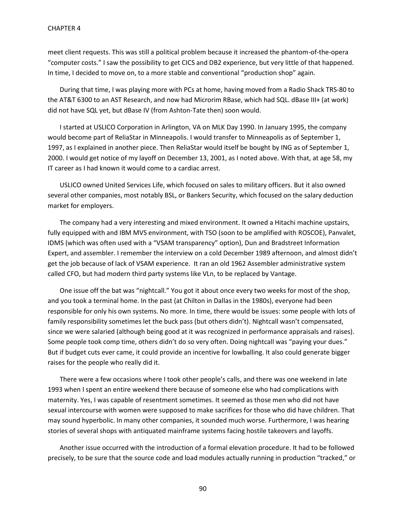meet client requests. This was still a political problem because it increased the phantom-of-the-opera "computer costs." I saw the possibility to get CICS and DB2 experience, but very little of that happened. In time, I decided to move on, to a more stable and conventional "production shop" again.

During that time, I was playing more with PCs at home, having moved from a Radio Shack TRS-80 to the AT&T 6300 to an AST Research, and now had Microrim RBase, which had SQL. dBase III+ (at work) did not have SQL yet, but dBase IV (from Ashton-Tate then) soon would.

I started at USLICO Corporation in Arlington, VA on MLK Day 1990. In January 1995, the company would become part of ReliaStar in Minneapolis. I would transfer to Minneapolis as of September 1, 1997, as I explained in another piece. Then ReliaStar would itself be bought by ING as of September 1, 2000. I would get notice of my layoff on December 13, 2001, as I noted above. With that, at age 58, my IT career as I had known it would come to a cardiac arrest.

USLICO owned United Services Life, which focused on sales to military officers. But it also owned several other companies, most notably BSL, or Bankers Security, which focused on the salary deduction market for employers.

The company had a very interesting and mixed environment. It owned a Hitachi machine upstairs, fully equipped with and IBM MVS environment, with TSO (soon to be amplified with ROSCOE), Panvalet, IDMS (which was often used with a "VSAM transparency" option), Dun and Bradstreet Information Expert, and assembler. I remember the interview on a cold December 1989 afternoon, and almost didn't get the job because of lack of VSAM experience. It ran an old 1962 Assembler administrative system called CFO, but had modern third party systems like VLn, to be replaced by Vantage.

One issue off the bat was "nightcall." You got it about once every two weeks for most of the shop, and you took a terminal home. In the past (at Chilton in Dallas in the 1980s), everyone had been responsible for only his own systems. No more. In time, there would be issues: some people with lots of family responsibility sometimes let the buck pass (but others didn't). Nightcall wasn't compensated, since we were salaried (although being good at it was recognized in performance appraisals and raises). Some people took comp time, others didn't do so very often. Doing nightcall was "paying your dues." But if budget cuts ever came, it could provide an incentive for lowballing. It also could generate bigger raises for the people who really did it.

There were a few occasions where I took other people's calls, and there was one weekend in late 1993 when I spent an entire weekend there because of someone else who had complications with maternity. Yes, I was capable of resentment sometimes. It seemed as those men who did not have sexual intercourse with women were supposed to make sacrifices for those who did have children. That may sound hyperbolic. In many other companies, it sounded much worse. Furthermore, I was hearing stories of several shops with antiquated mainframe systems facing hostile takeovers and layoffs.

Another issue occurred with the introduction of a formal elevation procedure. It had to be followed precisely, to be sure that the source code and load modules actually running in production "tracked," or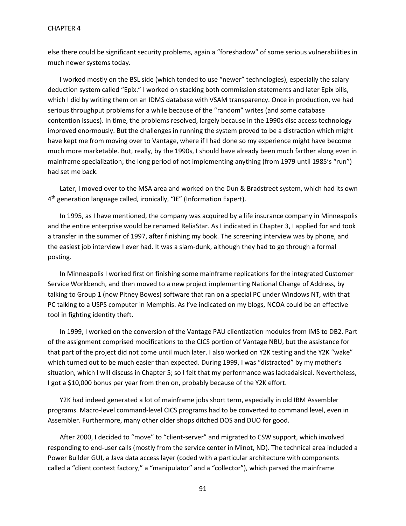else there could be significant security problems, again a "foreshadow" of some serious vulnerabilities in much newer systems today.

I worked mostly on the BSL side (which tended to use "newer" technologies), especially the salary deduction system called "Epix." I worked on stacking both commission statements and later Epix bills, which I did by writing them on an IDMS database with VSAM transparency. Once in production, we had serious throughput problems for a while because of the "random" writes (and some database contention issues). In time, the problems resolved, largely because in the 1990s disc access technology improved enormously. But the challenges in running the system proved to be a distraction which might have kept me from moving over to Vantage, where if I had done so my experience might have become much more marketable. But, really, by the 1990s, I should have already been much farther along even in mainframe specialization; the long period of not implementing anything (from 1979 until 1985's "run") had set me back.

Later, I moved over to the MSA area and worked on the Dun & Bradstreet system, which had its own 4<sup>th</sup> generation language called, ironically, "IE" (Information Expert).

In 1995, as I have mentioned, the company was acquired by a life insurance company in Minneapolis and the entire enterprise would be renamed ReliaStar. As I indicated in Chapter 3, I applied for and took a transfer in the summer of 1997, after finishing my book. The screening interview was by phone, and the easiest job interview I ever had. It was a slam-dunk, although they had to go through a formal posting.

In Minneapolis I worked first on finishing some mainframe replications for the integrated Customer Service Workbench, and then moved to a new project implementing National Change of Address, by talking to Group 1 (now Pitney Bowes) software that ran on a special PC under Windows NT, with that PC talking to a USPS computer in Memphis. As I've indicated on my blogs, NCOA could be an effective tool in fighting identity theft.

In 1999, I worked on the conversion of the Vantage PAU clientization modules from IMS to DB2. Part of the assignment comprised modifications to the CICS portion of Vantage NBU, but the assistance for that part of the project did not come until much later. I also worked on Y2K testing and the Y2K "wake" which turned out to be much easier than expected. During 1999, I was "distracted" by my mother's situation, which I will discuss in Chapter 5; so I felt that my performance was lackadaisical. Nevertheless, I got a \$10,000 bonus per year from then on, probably because of the Y2K effort.

Y2K had indeed generated a lot of mainframe jobs short term, especially in old IBM Assembler programs. Macro-level command-level CICS programs had to be converted to command level, even in Assembler. Furthermore, many other older shops ditched DOS and DUO for good.

After 2000, I decided to "move" to "client-server" and migrated to CSW support, which involved responding to end-user calls (mostly from the service center in Minot, ND). The technical area included a Power Builder GUI, a Java data access layer (coded with a particular architecture with components called a "client context factory," a "manipulator" and a "collector"), which parsed the mainframe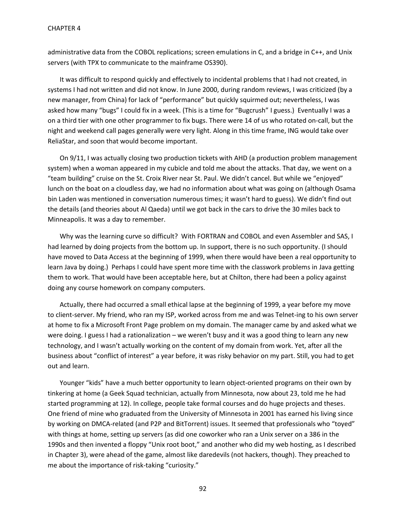administrative data from the COBOL replications; screen emulations in C, and a bridge in C++, and Unix servers (with TPX to communicate to the mainframe OS390).

It was difficult to respond quickly and effectively to incidental problems that I had not created, in systems I had not written and did not know. In June 2000, during random reviews, I was criticized (by a new manager, from China) for lack of "performance" but quickly squirmed out; nevertheless, I was asked how many "bugs" I could fix in a week. (This is a time for "Bugcrush" I guess.) Eventually I was a on a third tier with one other programmer to fix bugs. There were 14 of us who rotated on-call, but the night and weekend call pages generally were very light. Along in this time frame, ING would take over ReliaStar, and soon that would become important.

On 9/11, I was actually closing two production tickets with AHD (a production problem management system) when a woman appeared in my cubicle and told me about the attacks. That day, we went on a "team building" cruise on the St. Croix River near St. Paul. We didn't cancel. But while we "enjoyed" lunch on the boat on a cloudless day, we had no information about what was going on (although Osama bin Laden was mentioned in conversation numerous times; it wasn't hard to guess). We didn't find out the details (and theories about Al Qaeda) until we got back in the cars to drive the 30 miles back to Minneapolis. It was a day to remember.

Why was the learning curve so difficult? With FORTRAN and COBOL and even Assembler and SAS, I had learned by doing projects from the bottom up. In support, there is no such opportunity. (I should have moved to Data Access at the beginning of 1999, when there would have been a real opportunity to learn Java by doing.) Perhaps I could have spent more time with the classwork problems in Java getting them to work. That would have been acceptable here, but at Chilton, there had been a policy against doing any course homework on company computers.

Actually, there had occurred a small ethical lapse at the beginning of 1999, a year before my move to client-server. My friend, who ran my ISP, worked across from me and was Telnet-ing to his own server at home to fix a Microsoft Front Page problem on my domain. The manager came by and asked what we were doing. I guess I had a rationalization – we weren't busy and it was a good thing to learn any new technology, and I wasn't actually working on the content of my domain from work. Yet, after all the business about "conflict of interest" a year before, it was risky behavior on my part. Still, you had to get out and learn.

Younger "kids" have a much better opportunity to learn object-oriented programs on their own by tinkering at home (a Geek Squad technician, actually from Minnesota, now about 23, told me he had started programming at 12). In college, people take formal courses and do huge projects and theses. One friend of mine who graduated from the University of Minnesota in 2001 has earned his living since by working on DMCA-related (and P2P and BitTorrent) issues. It seemed that professionals who "toyed" with things at home, setting up servers (as did one coworker who ran a Unix server on a 386 in the 1990s and then invented a floppy "Unix root boot," and another who did my web hosting, as I described in Chapter 3), were ahead of the game, almost like daredevils (not hackers, though). They preached to me about the importance of risk-taking "curiosity."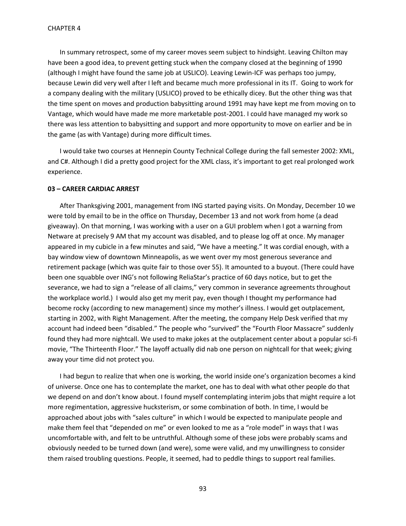In summary retrospect, some of my career moves seem subject to hindsight. Leaving Chilton may have been a good idea, to prevent getting stuck when the company closed at the beginning of 1990 (although I might have found the same job at USLICO). Leaving Lewin-ICF was perhaps too jumpy, because Lewin did very well after I left and became much more professional in its IT. Going to work for a company dealing with the military (USLICO) proved to be ethically dicey. But the other thing was that the time spent on moves and production babysitting around 1991 may have kept me from moving on to Vantage, which would have made me more marketable post-2001. I could have managed my work so there was less attention to babysitting and support and more opportunity to move on earlier and be in the game (as with Vantage) during more difficult times.

I would take two courses at Hennepin County Technical College during the fall semester 2002: XML, and C#. Although I did a pretty good project for the XML class, it's important to get real prolonged work experience.

### **03 – CAREER CARDIAC ARREST**

After Thanksgiving 2001, management from ING started paying visits. On Monday, December 10 we were told by email to be in the office on Thursday, December 13 and not work from home (a dead giveaway). On that morning, I was working with a user on a GUI problem when I got a warning from Netware at precisely 9 AM that my account was disabled, and to please log off at once. My manager appeared in my cubicle in a few minutes and said, "We have a meeting." It was cordial enough, with a bay window view of downtown Minneapolis, as we went over my most generous severance and retirement package (which was quite fair to those over 55). It amounted to a buyout. (There could have been one squabble over ING's not following ReliaStar's practice of 60 days notice, but to get the severance, we had to sign a "release of all claims," very common in severance agreements throughout the workplace world.) I would also get my merit pay, even though I thought my performance had become rocky (according to new management) since my mother's illness. I would get outplacement, starting in 2002, with Right Management. After the meeting, the company Help Desk verified that my account had indeed been "disabled." The people who "survived" the "Fourth Floor Massacre" suddenly found they had more nightcall. We used to make jokes at the outplacement center about a popular sci-fi movie, "The Thirteenth Floor." The layoff actually did nab one person on nightcall for that week; giving away your time did not protect you.

I had begun to realize that when one is working, the world inside one's organization becomes a kind of universe. Once one has to contemplate the market, one has to deal with what other people do that we depend on and don't know about. I found myself contemplating interim jobs that might require a lot more regimentation, aggressive hucksterism, or some combination of both. In time, I would be approached about jobs with "sales culture" in which I would be expected to manipulate people and make them feel that "depended on me" or even looked to me as a "role model" in ways that I was uncomfortable with, and felt to be untruthful. Although some of these jobs were probably scams and obviously needed to be turned down (and were), some were valid, and my unwillingness to consider them raised troubling questions. People, it seemed, had to peddle things to support real families.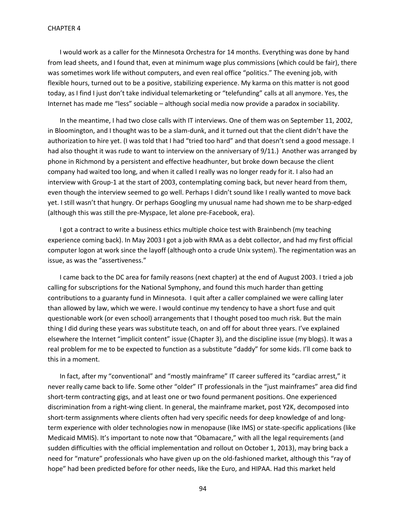I would work as a caller for the Minnesota Orchestra for 14 months. Everything was done by hand from lead sheets, and I found that, even at minimum wage plus commissions (which could be fair), there was sometimes work life without computers, and even real office "politics." The evening job, with flexible hours, turned out to be a positive, stabilizing experience. My karma on this matter is not good today, as I find I just don't take individual telemarketing or "telefunding" calls at all anymore. Yes, the Internet has made me "less" sociable – although social media now provide a paradox in sociability.

In the meantime, I had two close calls with IT interviews. One of them was on September 11, 2002, in Bloomington, and I thought was to be a slam-dunk, and it turned out that the client didn't have the authorization to hire yet. (I was told that I had "tried too hard" and that doesn't send a good message. I had also thought it was rude to want to interview on the anniversary of 9/11.) Another was arranged by phone in Richmond by a persistent and effective headhunter, but broke down because the client company had waited too long, and when it called I really was no longer ready for it. I also had an interview with Group-1 at the start of 2003, contemplating coming back, but never heard from them, even though the interview seemed to go well. Perhaps I didn't sound like I really wanted to move back yet. I still wasn't that hungry. Or perhaps Googling my unusual name had shown me to be sharp-edged (although this was still the pre-Myspace, let alone pre-Facebook, era).

I got a contract to write a business ethics multiple choice test with Brainbench (my teaching experience coming back). In May 2003 I got a job with RMA as a debt collector, and had my first official computer logon at work since the layoff (although onto a crude Unix system). The regimentation was an issue, as was the "assertiveness."

I came back to the DC area for family reasons (next chapter) at the end of August 2003. I tried a job calling for subscriptions for the National Symphony, and found this much harder than getting contributions to a guaranty fund in Minnesota. I quit after a caller complained we were calling later than allowed by law, which we were. I would continue my tendency to have a short fuse and quit questionable work (or even school) arrangements that I thought posed too much risk. But the main thing I did during these years was substitute teach, on and off for about three years. I've explained elsewhere the Internet "implicit content" issue (Chapter 3), and the discipline issue (my blogs). It was a real problem for me to be expected to function as a substitute "daddy" for some kids. I'll come back to this in a moment.

In fact, after my "conventional" and "mostly mainframe" IT career suffered its "cardiac arrest," it never really came back to life. Some other "older" IT professionals in the "just mainframes" area did find short-term contracting gigs, and at least one or two found permanent positions. One experienced discrimination from a right-wing client. In general, the mainframe market, post Y2K, decomposed into short-term assignments where clients often had very specific needs for deep knowledge of and longterm experience with older technologies now in menopause (like IMS) or state-specific applications (like Medicaid MMIS). It's important to note now that "Obamacare," with all the legal requirements (and sudden difficulties with the official implementation and rollout on October 1, 2013), may bring back a need for "mature" professionals who have given up on the old-fashioned market, although this "ray of hope" had been predicted before for other needs, like the Euro, and HIPAA. Had this market held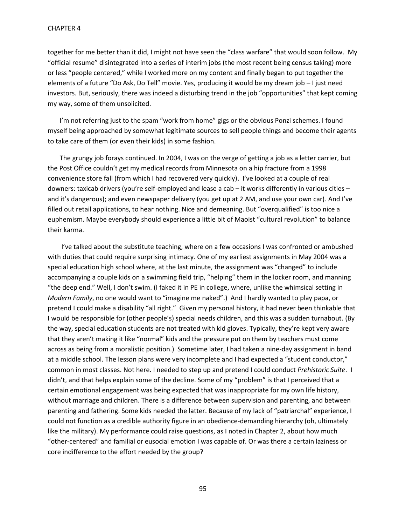together for me better than it did, I might not have seen the "class warfare" that would soon follow. My "official resume" disintegrated into a series of interim jobs (the most recent being census taking) more or less "people centered," while I worked more on my content and finally began to put together the elements of a future "Do Ask, Do Tell" movie. Yes, producing it would be my dream job – I just need investors. But, seriously, there was indeed a disturbing trend in the job "opportunities" that kept coming my way, some of them unsolicited.

I'm not referring just to the spam "work from home" gigs or the obvious Ponzi schemes. I found myself being approached by somewhat legitimate sources to sell people things and become their agents to take care of them (or even their kids) in some fashion.

The grungy job forays continued. In 2004, I was on the verge of getting a job as a letter carrier, but the Post Office couldn't get my medical records from Minnesota on a hip fracture from a 1998 convenience store fall (from which I had recovered very quickly). I've looked at a couple of real downers: taxicab drivers (you're self-employed and lease a cab – it works differently in various cities – and it's dangerous); and even newspaper delivery (you get up at 2 AM, and use your own car). And I've filled out retail applications, to hear nothing. Nice and demeaning. But "overqualified" is too nice a euphemism. Maybe everybody should experience a little bit of Maoist "cultural revolution" to balance their karma.

I've talked about the substitute teaching, where on a few occasions I was confronted or ambushed with duties that could require surprising intimacy. One of my earliest assignments in May 2004 was a special education high school where, at the last minute, the assignment was "changed" to include accompanying a couple kids on a swimming field trip, "helping" them in the locker room, and manning "the deep end." Well, I don't swim. (I faked it in PE in college, where, unlike the whimsical setting in *Modern Family*, no one would want to "imagine me naked".) And I hardly wanted to play papa, or pretend I could make a disability "all right." Given my personal history, it had never been thinkable that I would be responsible for (other people's) special needs children, and this was a sudden turnabout. (By the way, special education students are not treated with kid gloves. Typically, they're kept very aware that they aren't making it like "normal" kids and the pressure put on them by teachers must come across as being from a moralistic position.) Sometime later, I had taken a nine-day assignment in band at a middle school. The lesson plans were very incomplete and I had expected a "student conductor," common in most classes. Not here. I needed to step up and pretend I could conduct *Prehistoric Suite*. I didn't, and that helps explain some of the decline. Some of my "problem" is that I perceived that a certain emotional engagement was being expected that was inappropriate for my own life history, without marriage and children. There is a difference between supervision and parenting, and between parenting and fathering. Some kids needed the latter. Because of my lack of "patriarchal" experience, I could not function as a credible authority figure in an obedience-demanding hierarchy (oh, ultimately like the military). My performance could raise questions, as I noted in Chapter 2, about how much "other-centered" and familial or eusocial emotion I was capable of. Or was there a certain laziness or core indifference to the effort needed by the group?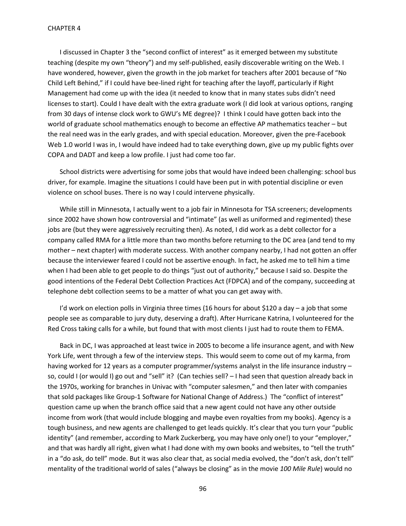I discussed in Chapter 3 the "second conflict of interest" as it emerged between my substitute teaching (despite my own "theory") and my self-published, easily discoverable writing on the Web. I have wondered, however, given the growth in the job market for teachers after 2001 because of "No Child Left Behind," if I could have bee-lined right for teaching after the layoff, particularly if Right Management had come up with the idea (it needed to know that in many states subs didn't need licenses to start). Could I have dealt with the extra graduate work (I did look at various options, ranging from 30 days of intense clock work to GWU's ME degree)? I think I could have gotten back into the world of graduate school mathematics enough to become an effective AP mathematics teacher – but the real need was in the early grades, and with special education. Moreover, given the pre-Facebook Web 1.0 world I was in, I would have indeed had to take everything down, give up my public fights over COPA and DADT and keep a low profile. I just had come too far.

School districts were advertising for some jobs that would have indeed been challenging: school bus driver, for example. Imagine the situations I could have been put in with potential discipline or even violence on school buses. There is no way I could intervene physically.

While still in Minnesota, I actually went to a job fair in Minnesota for TSA screeners; developments since 2002 have shown how controversial and "intimate" (as well as uniformed and regimented) these jobs are (but they were aggressively recruiting then). As noted, I did work as a debt collector for a company called RMA for a little more than two months before returning to the DC area (and tend to my mother – next chapter) with moderate success. With another company nearby, I had not gotten an offer because the interviewer feared I could not be assertive enough. In fact, he asked me to tell him a time when I had been able to get people to do things "just out of authority," because I said so. Despite the good intentions of the Federal Debt Collection Practices Act (FDPCA) and of the company, succeeding at telephone debt collection seems to be a matter of what you can get away with.

I'd work on election polls in Virginia three times (16 hours for about \$120 a day - a job that some people see as comparable to jury duty, deserving a draft). After Hurricane Katrina, I volunteered for the Red Cross taking calls for a while, but found that with most clients I just had to route them to FEMA.

Back in DC, I was approached at least twice in 2005 to become a life insurance agent, and with New York Life, went through a few of the interview steps. This would seem to come out of my karma, from having worked for 12 years as a computer programmer/systems analyst in the life insurance industry – so, could I (or would I) go out and "sell" it? (Can techies sell? – I had seen that question already back in the 1970s, working for branches in Univac with "computer salesmen," and then later with companies that sold packages like Group-1 Software for National Change of Address.) The "conflict of interest" question came up when the branch office said that a new agent could not have any other outside income from work (that would include blogging and maybe even royalties from my books). Agency is a tough business, and new agents are challenged to get leads quickly. It's clear that you turn your "public identity" (and remember, according to Mark Zuckerberg, you may have only one!) to your "employer," and that was hardly all right, given what I had done with my own books and websites, to "tell the truth" in a "do ask, do tell" mode. But it was also clear that, as social media evolved, the "don't ask, don't tell" mentality of the traditional world of sales ("always be closing" as in the movie *100 Mile Rule*) would no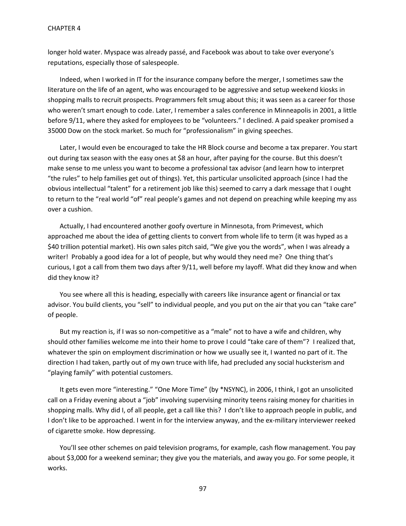longer hold water. Myspace was already passé, and Facebook was about to take over everyone's reputations, especially those of salespeople.

Indeed, when I worked in IT for the insurance company before the merger, I sometimes saw the literature on the life of an agent, who was encouraged to be aggressive and setup weekend kiosks in shopping malls to recruit prospects. Programmers felt smug about this; it was seen as a career for those who weren't smart enough to code. Later, I remember a sales conference in Minneapolis in 2001, a little before 9/11, where they asked for employees to be "volunteers." I declined. A paid speaker promised a 35000 Dow on the stock market. So much for "professionalism" in giving speeches.

Later, I would even be encouraged to take the HR Block course and become a tax preparer. You start out during tax season with the easy ones at \$8 an hour, after paying for the course. But this doesn't make sense to me unless you want to become a professional tax advisor (and learn how to interpret "the rules" to help families get out of things). Yet, this particular unsolicited approach (since I had the obvious intellectual "talent" for a retirement job like this) seemed to carry a dark message that I ought to return to the "real world "of" real people's games and not depend on preaching while keeping my ass over a cushion.

Actually, I had encountered another goofy overture in Minnesota, from Primevest, which approached me about the idea of getting clients to convert from whole life to term (it was hyped as a \$40 trillion potential market). His own sales pitch said, "We give you the words", when I was already a writer! Probably a good idea for a lot of people, but why would they need me? One thing that's curious, I got a call from them two days after 9/11, well before my layoff. What did they know and when did they know it?

You see where all this is heading, especially with careers like insurance agent or financial or tax advisor. You build clients, you "sell" to individual people, and you put on the air that you can "take care" of people.

But my reaction is, if I was so non-competitive as a "male" not to have a wife and children, why should other families welcome me into their home to prove I could "take care of them"? I realized that, whatever the spin on employment discrimination or how we usually see it, I wanted no part of it. The direction I had taken, partly out of my own truce with life, had precluded any social hucksterism and "playing family" with potential customers.

It gets even more "interesting." "One More Time" (by \*NSYNC), in 2006, I think, I got an unsolicited call on a Friday evening about a "job" involving supervising minority teens raising money for charities in shopping malls. Why did I, of all people, get a call like this? I don't like to approach people in public, and I don't like to be approached. I went in for the interview anyway, and the ex-military interviewer reeked of cigarette smoke. How depressing.

You'll see other schemes on paid television programs, for example, cash flow management. You pay about \$3,000 for a weekend seminar; they give you the materials, and away you go. For some people, it works.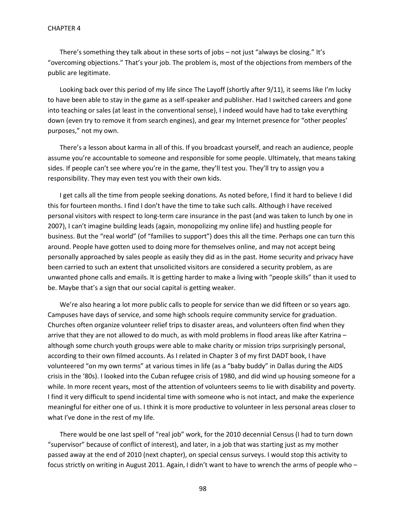There's something they talk about in these sorts of jobs – not just "always be closing." It's "overcoming objections." That's your job. The problem is, most of the objections from members of the public are legitimate.

Looking back over this period of my life since The Layoff (shortly after 9/11), it seems like I'm lucky to have been able to stay in the game as a self-speaker and publisher. Had I switched careers and gone into teaching or sales (at least in the conventional sense), I indeed would have had to take everything down (even try to remove it from search engines), and gear my Internet presence for "other peoples' purposes," not my own.

There's a lesson about karma in all of this. If you broadcast yourself, and reach an audience, people assume you're accountable to someone and responsible for some people. Ultimately, that means taking sides. If people can't see where you're in the game, they'll test you. They'll try to assign you a responsibility. They may even test you with their own kids.

I get calls all the time from people seeking donations. As noted before, I find it hard to believe I did this for fourteen months. I find I don't have the time to take such calls. Although I have received personal visitors with respect to long-term care insurance in the past (and was taken to lunch by one in 2007), I can't imagine building leads (again, monopolizing my online life) and hustling people for business. But the "real world" (of "families to support") does this all the time. Perhaps one can turn this around. People have gotten used to doing more for themselves online, and may not accept being personally approached by sales people as easily they did as in the past. Home security and privacy have been carried to such an extent that unsolicited visitors are considered a security problem, as are unwanted phone calls and emails. It is getting harder to make a living with "people skills" than it used to be. Maybe that's a sign that our social capital is getting weaker.

We're also hearing a lot more public calls to people for service than we did fifteen or so years ago. Campuses have days of service, and some high schools require community service for graduation. Churches often organize volunteer relief trips to disaster areas, and volunteers often find when they arrive that they are not allowed to do much, as with mold problems in flood areas like after Katrina – although some church youth groups were able to make charity or mission trips surprisingly personal, according to their own filmed accounts. As I related in Chapter 3 of my first DADT book, I have volunteered "on my own terms" at various times in life (as a "baby buddy" in Dallas during the AIDS crisis in the '80s). I looked into the Cuban refugee crisis of 1980, and did wind up housing someone for a while. In more recent years, most of the attention of volunteers seems to lie with disability and poverty. I find it very difficult to spend incidental time with someone who is not intact, and make the experience meaningful for either one of us. I think it is more productive to volunteer in less personal areas closer to what I've done in the rest of my life.

There would be one last spell of "real job" work, for the 2010 decennial Census (I had to turn down "supervisor" because of conflict of interest), and later, in a job that was starting just as my mother passed away at the end of 2010 (next chapter), on special census surveys. I would stop this activity to focus strictly on writing in August 2011. Again, I didn't want to have to wrench the arms of people who –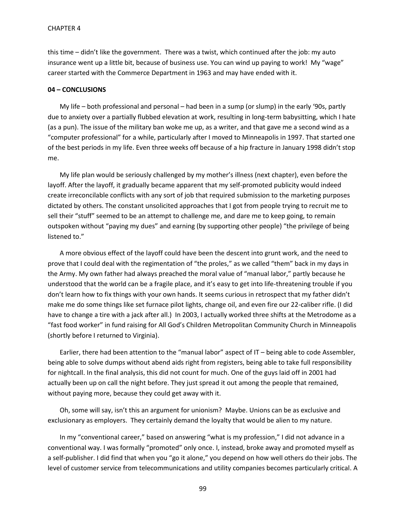this time – didn't like the government. There was a twist, which continued after the job: my auto insurance went up a little bit, because of business use. You can wind up paying to work! My "wage" career started with the Commerce Department in 1963 and may have ended with it.

### **04 – CONCLUSIONS**

My life – both professional and personal – had been in a sump (or slump) in the early '90s, partly due to anxiety over a partially flubbed elevation at work, resulting in long-term babysitting, which I hate (as a pun). The issue of the military ban woke me up, as a writer, and that gave me a second wind as a "computer professional" for a while, particularly after I moved to Minneapolis in 1997. That started one of the best periods in my life. Even three weeks off because of a hip fracture in January 1998 didn't stop me.

My life plan would be seriously challenged by my mother's illness (next chapter), even before the layoff. After the layoff, it gradually became apparent that my self-promoted publicity would indeed create irreconcilable conflicts with any sort of job that required submission to the marketing purposes dictated by others. The constant unsolicited approaches that I got from people trying to recruit me to sell their "stuff" seemed to be an attempt to challenge me, and dare me to keep going, to remain outspoken without "paying my dues" and earning (by supporting other people) "the privilege of being listened to."

A more obvious effect of the layoff could have been the descent into grunt work, and the need to prove that I could deal with the regimentation of "the proles," as we called "them" back in my days in the Army. My own father had always preached the moral value of "manual labor," partly because he understood that the world can be a fragile place, and it's easy to get into life-threatening trouble if you don't learn how to fix things with your own hands. It seems curious in retrospect that my father didn't make me do some things like set furnace pilot lights, change oil, and even fire our 22-caliber rifle. (I did have to change a tire with a jack after all.) In 2003, I actually worked three shifts at the Metrodome as a "fast food worker" in fund raising for All God's Children Metropolitan Community Church in Minneapolis (shortly before I returned to Virginia).

Earlier, there had been attention to the "manual labor" aspect of IT – being able to code Assembler, being able to solve dumps without abend aids right from registers, being able to take full responsibility for nightcall. In the final analysis, this did not count for much. One of the guys laid off in 2001 had actually been up on call the night before. They just spread it out among the people that remained, without paying more, because they could get away with it.

Oh, some will say, isn't this an argument for unionism? Maybe. Unions can be as exclusive and exclusionary as employers. They certainly demand the loyalty that would be alien to my nature.

In my "conventional career," based on answering "what is my profession," I did not advance in a conventional way. I was formally "promoted" only once. I, instead, broke away and promoted myself as a self-publisher. I did find that when you "go it alone," you depend on how well others do their jobs. The level of customer service from telecommunications and utility companies becomes particularly critical. A